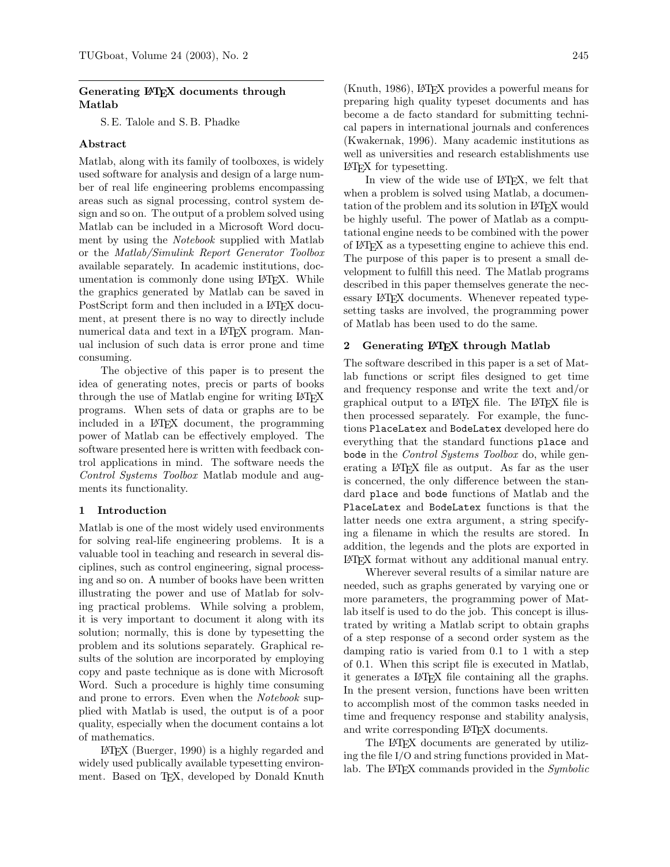# Generating LAT<sub>EX</sub> documents through Matlab

S. E. Talole and S. B. Phadke

# Abstract

Matlab, along with its family of toolboxes, is widely used software for analysis and design of a large number of real life engineering problems encompassing areas such as signal processing, control system design and so on. The output of a problem solved using Matlab can be included in a Microsoft Word document by using the Notebook supplied with Matlab or the Matlab/Simulink Report Generator Toolbox available separately. In academic institutions, documentation is commonly done using LAT<sub>EX</sub>. While the graphics generated by Matlab can be saved in PostScript form and then included in a IATEX document, at present there is no way to directly include numerical data and text in a LAT<sub>EX</sub> program. Manual inclusion of such data is error prone and time consuming.

The objective of this paper is to present the idea of generating notes, precis or parts of books through the use of Matlab engine for writing LATEX programs. When sets of data or graphs are to be included in a L<sup>A</sup>TEX document, the programming power of Matlab can be effectively employed. The software presented here is written with feedback control applications in mind. The software needs the Control Systems Toolbox Matlab module and augments its functionality.

### 1 Introduction

Matlab is one of the most widely used environments for solving real-life engineering problems. It is a valuable tool in teaching and research in several disciplines, such as control engineering, signal processing and so on. A number of books have been written illustrating the power and use of Matlab for solving practical problems. While solving a problem, it is very important to document it along with its solution; normally, this is done by typesetting the problem and its solutions separately. Graphical results of the solution are incorporated by employing copy and paste technique as is done with Microsoft Word. Such a procedure is highly time consuming and prone to errors. Even when the Notebook supplied with Matlab is used, the output is of a poor quality, especially when the document contains a lot of mathematics.

L<sup>A</sup>TEX (Buerger, 1990) is a highly regarded and widely used publically available typesetting environment. Based on TEX, developed by Donald Knuth (Knuth, 1986), L<sup>A</sup>TEX provides a powerful means for preparing high quality typeset documents and has become a de facto standard for submitting technical papers in international journals and conferences (Kwakernak, 1996). Many academic institutions as well as universities and research establishments use L<sup>A</sup>TEX for typesetting.

In view of the wide use of L<sup>A</sup>TEX, we felt that when a problem is solved using Matlab, a documentation of the problem and its solution in LAT<sub>EX</sub> would be highly useful. The power of Matlab as a computational engine needs to be combined with the power of L<sup>A</sup>TEX as a typesetting engine to achieve this end. The purpose of this paper is to present a small development to fulfill this need. The Matlab programs described in this paper themselves generate the necessary L<sup>A</sup>TEX documents. Whenever repeated typesetting tasks are involved, the programming power of Matlab has been used to do the same.

## 2 Generating LAT<sub>EX</sub> through Matlab

The software described in this paper is a set of Matlab functions or script files designed to get time and frequency response and write the text and/or graphical output to a L<sup>A</sup>TEX file. The L<sup>A</sup>TEX file is then processed separately. For example, the functions PlaceLatex and BodeLatex developed here do everything that the standard functions place and bode in the *Control Systems Toolbox* do, while generating a LAT<sub>E</sub>X file as output. As far as the user is concerned, the only difference between the standard place and bode functions of Matlab and the PlaceLatex and BodeLatex functions is that the latter needs one extra argument, a string specifying a filename in which the results are stored. In addition, the legends and the plots are exported in L<sup>A</sup>TEX format without any additional manual entry.

Wherever several results of a similar nature are needed, such as graphs generated by varying one or more parameters, the programming power of Matlab itself is used to do the job. This concept is illustrated by writing a Matlab script to obtain graphs of a step response of a second order system as the damping ratio is varied from 0.1 to 1 with a step of 0.1. When this script file is executed in Matlab, it generates a L<sup>A</sup>TEX file containing all the graphs. In the present version, functions have been written to accomplish most of the common tasks needed in time and frequency response and stability analysis, and write corresponding L<sup>A</sup>TEX documents.

The L<sup>AT</sup>EX documents are generated by utilizing the file I/O and string functions provided in Matlab. The LAT<sub>EX</sub> commands provided in the  $Symbolic$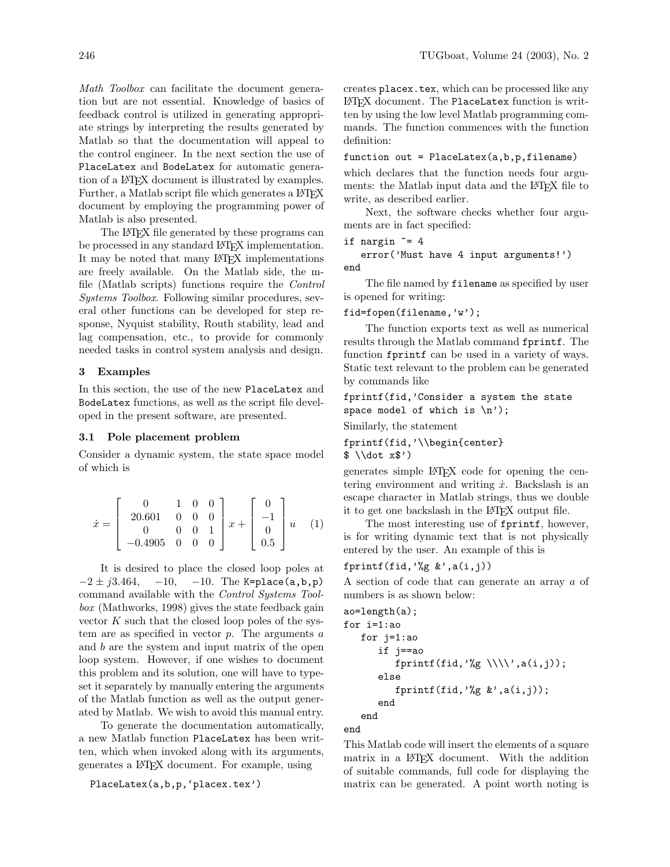Math Toolbox can facilitate the document generation but are not essential. Knowledge of basics of feedback control is utilized in generating appropriate strings by interpreting the results generated by Matlab so that the documentation will appeal to the control engineer. In the next section the use of PlaceLatex and BodeLatex for automatic generation of a L<sup>A</sup>TEX document is illustrated by examples. Further, a Matlab script file which generates a LAT<sub>EX</sub> document by employing the programming power of Matlab is also presented.

The L<sup>AT</sup>EX file generated by these programs can be processed in any standard LAT<sub>EX</sub> implementation. It may be noted that many L<sup>A</sup>TEX implementations are freely available. On the Matlab side, the mfile (Matlab scripts) functions require the Control Systems Toolbox. Following similar procedures, several other functions can be developed for step response, Nyquist stability, Routh stability, lead and lag compensation, etc., to provide for commonly needed tasks in control system analysis and design.

# 3 Examples

In this section, the use of the new PlaceLatex and BodeLatex functions, as well as the script file developed in the present software, are presented.

# 3.1 Pole placement problem

Consider a dynamic system, the state space model of which is

$$
\dot{x} = \begin{bmatrix} 0 & 1 & 0 & 0 \\ 20.601 & 0 & 0 & 0 \\ 0 & 0 & 0 & 1 \\ -0.4905 & 0 & 0 & 0 \end{bmatrix} x + \begin{bmatrix} 0 \\ -1 \\ 0 \\ 0.5 \end{bmatrix} u \quad (1)
$$

It is desired to place the closed loop poles at  $-2 \pm j3.464$ ,  $-10$ ,  $-10$ . The K=place(a,b,p) command available with the Control Systems Toolbox (Mathworks, 1998) gives the state feedback gain vector  $K$  such that the closed loop poles of the system are as specified in vector  $p$ . The arguments  $a$ and b are the system and input matrix of the open loop system. However, if one wishes to document this problem and its solution, one will have to typeset it separately by manually entering the arguments of the Matlab function as well as the output generated by Matlab. We wish to avoid this manual entry.

To generate the documentation automatically, a new Matlab function PlaceLatex has been written, which when invoked along with its arguments, generates a L<sup>A</sup>TEX document. For example, using

PlaceLatex(a,b,p,'placex.tex')

creates placex.tex, which can be processed like any L<sup>A</sup>TEX document. The PlaceLatex function is written by using the low level Matlab programming commands. The function commences with the function definition:

### function out = PlaceLatex(a,b,p,filename)

which declares that the function needs four arguments: the Matlab input data and the L<sup>A</sup>TEX file to write, as described earlier.

Next, the software checks whether four arguments are in fact specified:

```
if nargin z = 4
```
error('Must have 4 input arguments!') end

The file named by filename as specified by user is opened for writing:

## fid=fopen(filename,'w');

The function exports text as well as numerical results through the Matlab command fprintf. The function fprintf can be used in a variety of ways. Static text relevant to the problem can be generated by commands like

fprintf(fid,'Consider a system the state space model of which is  $\langle n' \rangle$ ;

Similarly, the statement

fprintf(fid,'\\begin{center}  $\text{\$ }\setminus\text{ dot } x\text{\$'}$ 

generates simple L<sup>A</sup>TEX code for opening the centering environment and writing  $\dot{x}$ . Backslash is an escape character in Matlab strings, thus we double it to get one backslash in the LAT<sub>EX</sub> output file.

The most interesting use of fprintf, however, is for writing dynamic text that is not physically entered by the user. An example of this is

# fprintf(fid, $\sqrt[3]{g}$  &',a(i,j))

A section of code that can generate an array a of numbers is as shown below:

```
ao=length(a);
for i=1:ao
   for j=1:ao
       if j==ao
          fprintf(fid,'%g \\\\',a(i,j));
       else
          fprintf(fid,\sqrt[3]{g} \frac{k}{q}, a(i,j));
       end
   end
```
end

This Matlab code will insert the elements of a square matrix in a L<sup>A</sup>TEX document. With the addition of suitable commands, full code for displaying the matrix can be generated. A point worth noting is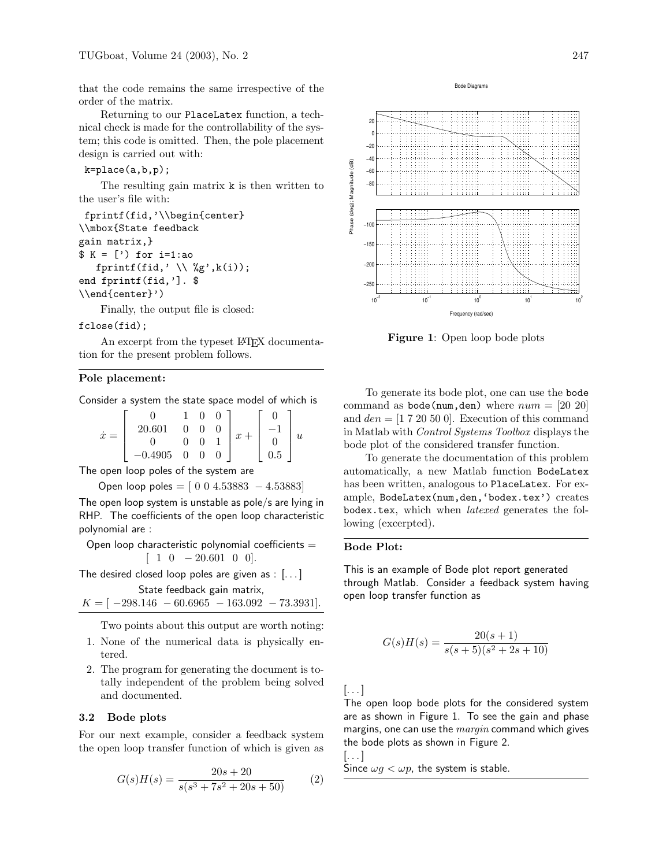that the code remains the same irrespective of the order of the matrix.

Returning to our PlaceLatex function, a technical check is made for the controllability of the system; this code is omitted. Then, the pole placement design is carried out with:

 $k = place(a, b, p)$ ;

The resulting gain matrix k is then written to the user's file with:

```
fprintf(fid,'\\begin{center}
\\mbox{State feedback
gain matrix,}
$ K = [') for i=1:aofprintf(fid,' \setminus \", k(i));
end fprintf(fid,']. $
\\end{center}')
```
Finally, the output file is closed:

#### fclose(fid);

An excerpt from the typeset LAT<sub>E</sub>X documentation for the present problem follows.

### Pole placement:

Consider a system the state space model of which is

$$
\dot{x} = \begin{bmatrix} 0 & 1 & 0 & 0 \\ 20.601 & 0 & 0 & 0 \\ 0 & 0 & 0 & 1 \\ -0.4905 & 0 & 0 & 0 \end{bmatrix} x + \begin{bmatrix} 0 \\ -1 \\ 0 \\ 0.5 \end{bmatrix} u
$$

The open loop poles of the system are

Open loop poles = 
$$
[0 0 4.53883 - 4.53883]
$$

The open loop system is unstable as pole/s are lying in RHP. The coefficients of the open loop characteristic polynomial are :

Open loop characteristic polynomial coefficients  $=$  $[ 1 \ 0 \ -20.601 \ 0 \ 0].$ 

The desired closed loop poles are given as : [...]

State feedback gain matrix,  $K = [-298.146 - 60.6965 - 163.092 - 73.3931].$ 

Two points about this output are worth noting:

- 1. None of the numerical data is physically entered.
- 2. The program for generating the document is totally independent of the problem being solved and documented.

# 3.2 Bode plots

For our next example, consider a feedback system the open loop transfer function of which is given as

$$
G(s)H(s) = \frac{20s + 20}{s(s^3 + 7s^2 + 20s + 50)}
$$
 (2)



Figure 1: Open loop bode plots

Frequency (rad/sec)

 $10<sup>1</sup>$ 

 $10^{-2}$  10<sup>−1</sup> 10<sup>0</sup>

To generate its bode plot, one can use the bode command as bode(num,den) where  $num = [20 20]$ and  $den = [1 7 20 50 0]$ . Execution of this command in Matlab with Control Systems Toolbox displays the bode plot of the considered transfer function.

To generate the documentation of this problem automatically, a new Matlab function BodeLatex has been written, analogous to PlaceLatex. For example, BodeLatex(num,den,'bodex.tex') creates bodex.tex, which when *latexed* generates the following (excerpted).

# Bode Plot:

This is an example of Bode plot report generated through Matlab. Consider a feedback system having open loop transfer function as

$$
G(s)H(s) = \frac{20(s+1)}{s(s+5)(s^2+2s+10)}
$$

[. . . ]

The open loop bode plots for the considered system are as shown in Figure 1. To see the gain and phase margins, one can use the  $margin$  command which gives the bode plots as shown in Figure 2.

[. . . ]

Since  $\omega g < \omega p$ , the system is stable.

 $10^{2}$